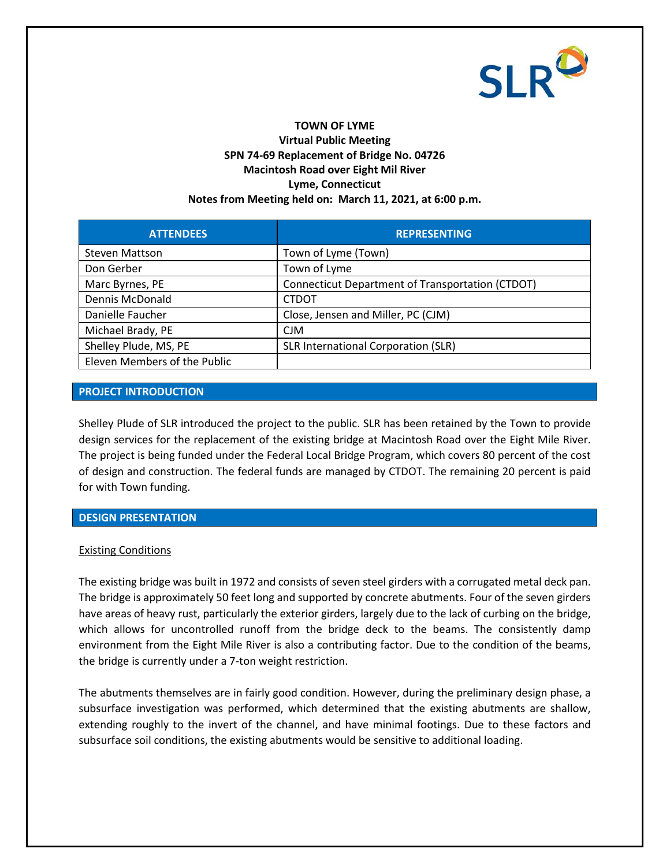

# **TOWN OF LYME**

## **Virtual Public Meeting SPN 74-69 Replacement of Bridge No. 04726 Macintosh Road over Eight Mil River Lyme, Connecticut Notes from Meeting held on: March 11, 2021, at 6:00 p.m.**

| <b>ATTENDEES</b>             | <b>REPRESENTING</b>                              |
|------------------------------|--------------------------------------------------|
| <b>Steven Mattson</b>        | Town of Lyme (Town)                              |
| Don Gerber                   | Town of Lyme                                     |
| Marc Byrnes, PE              | Connecticut Department of Transportation (CTDOT) |
| Dennis McDonald              | <b>CTDOT</b>                                     |
| Danielle Faucher             | Close, Jensen and Miller, PC (CJM)               |
| Michael Brady, PE            | CJM                                              |
| Shelley Plude, MS, PE        | SLR International Corporation (SLR)              |
| Eleven Members of the Public |                                                  |

## **PROJECT INTRODUCTION**

Shelley Plude of SLR introduced the project to the public. SLR has been retained by the Town to provide design services for the replacement of the existing bridge at Macintosh Road over the Eight Mile River. The project is being funded under the Federal Local Bridge Program, which covers 80 percent of the cost of design and construction. The federal funds are managed by CTDOT. The remaining 20 percent is paid for with Town funding.

#### **DESIGN PRESENTATION**

#### Existing Conditions

The existing bridge was built in 1972 and consists of seven steel girders with a corrugated metal deck pan. The bridge is approximately 50 feet long and supported by concrete abutments. Four of the seven girders have areas of heavy rust, particularly the exterior girders, largely due to the lack of curbing on the bridge, which allows for uncontrolled runoff from the bridge deck to the beams. The consistently damp environment from the Eight Mile River is also a contributing factor. Due to the condition of the beams, the bridge is currently under a 7-ton weight restriction.

The abutments themselves are in fairly good condition. However, during the preliminary design phase, a subsurface investigation was performed, which determined that the existing abutments are shallow, extending roughly to the invert of the channel, and have minimal footings. Due to these factors and subsurface soil conditions, the existing abutments would be sensitive to additional loading.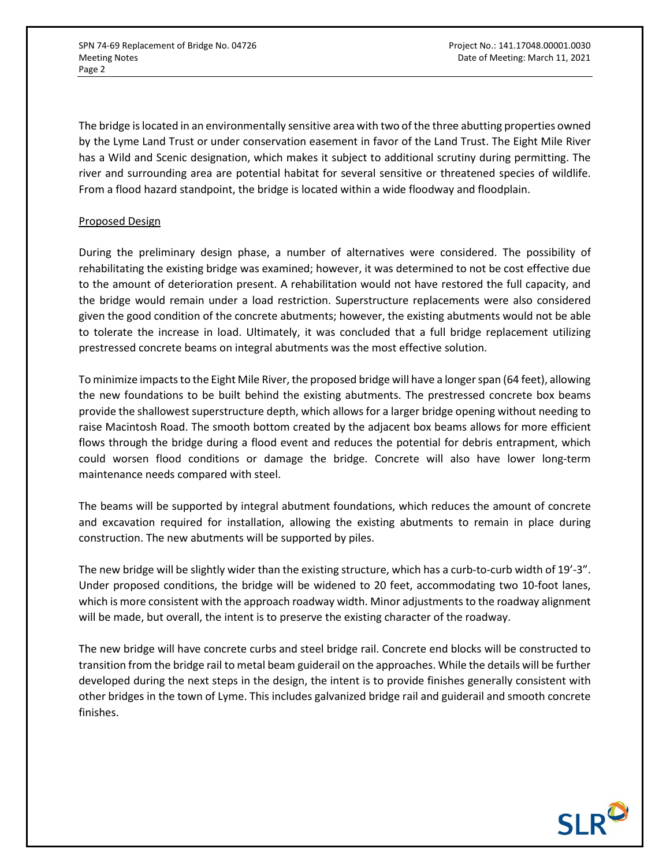The bridge is located in an environmentally sensitive area with two of the three abutting properties owned by the Lyme Land Trust or under conservation easement in favor of the Land Trust. The Eight Mile River has a Wild and Scenic designation, which makes it subject to additional scrutiny during permitting. The river and surrounding area are potential habitat for several sensitive or threatened species of wildlife. From a flood hazard standpoint, the bridge is located within a wide floodway and floodplain.

## Proposed Design

During the preliminary design phase, a number of alternatives were considered. The possibility of rehabilitating the existing bridge was examined; however, it was determined to not be cost effective due to the amount of deterioration present. A rehabilitation would not have restored the full capacity, and the bridge would remain under a load restriction. Superstructure replacements were also considered given the good condition of the concrete abutments; however, the existing abutments would not be able to tolerate the increase in load. Ultimately, it was concluded that a full bridge replacement utilizing prestressed concrete beams on integral abutments was the most effective solution.

To minimize impacts to the Eight Mile River, the proposed bridge will have a longer span (64 feet), allowing the new foundations to be built behind the existing abutments. The prestressed concrete box beams provide the shallowest superstructure depth, which allows for a larger bridge opening without needing to raise Macintosh Road. The smooth bottom created by the adjacent box beams allows for more efficient flows through the bridge during a flood event and reduces the potential for debris entrapment, which could worsen flood conditions or damage the bridge. Concrete will also have lower long-term maintenance needs compared with steel.

The beams will be supported by integral abutment foundations, which reduces the amount of concrete and excavation required for installation, allowing the existing abutments to remain in place during construction. The new abutments will be supported by piles.

The new bridge will be slightly wider than the existing structure, which has a curb-to-curb width of 19'-3". Under proposed conditions, the bridge will be widened to 20 feet, accommodating two 10-foot lanes, which is more consistent with the approach roadway width. Minor adjustments to the roadway alignment will be made, but overall, the intent is to preserve the existing character of the roadway.

The new bridge will have concrete curbs and steel bridge rail. Concrete end blocks will be constructed to transition from the bridge rail to metal beam guiderail on the approaches. While the details will be further developed during the next steps in the design, the intent is to provide finishes generally consistent with other bridges in the town of Lyme. This includes galvanized bridge rail and guiderail and smooth concrete finishes.

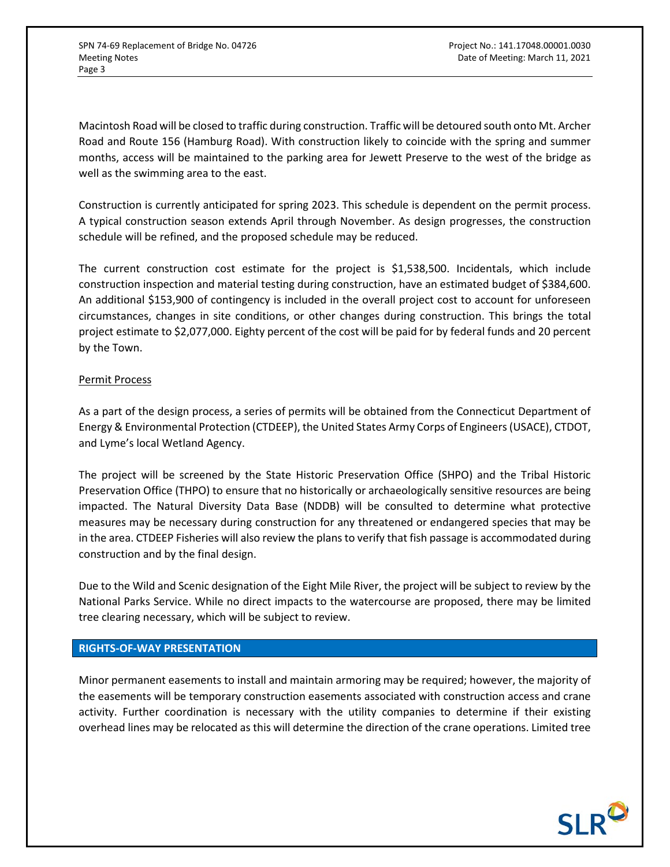Macintosh Road will be closed to traffic during construction. Traffic will be detoured south onto Mt. Archer Road and Route 156 (Hamburg Road). With construction likely to coincide with the spring and summer months, access will be maintained to the parking area for Jewett Preserve to the west of the bridge as well as the swimming area to the east.

Construction is currently anticipated for spring 2023. This schedule is dependent on the permit process. A typical construction season extends April through November. As design progresses, the construction schedule will be refined, and the proposed schedule may be reduced.

The current construction cost estimate for the project is \$1,538,500. Incidentals, which include construction inspection and material testing during construction, have an estimated budget of \$384,600. An additional \$153,900 of contingency is included in the overall project cost to account for unforeseen circumstances, changes in site conditions, or other changes during construction. This brings the total project estimate to \$2,077,000. Eighty percent of the cost will be paid for by federal funds and 20 percent by the Town.

## Permit Process

As a part of the design process, a series of permits will be obtained from the Connecticut Department of Energy & Environmental Protection (CTDEEP), the United States Army Corps of Engineers (USACE), CTDOT, and Lyme's local Wetland Agency.

The project will be screened by the State Historic Preservation Office (SHPO) and the Tribal Historic Preservation Office (THPO) to ensure that no historically or archaeologically sensitive resources are being impacted. The Natural Diversity Data Base (NDDB) will be consulted to determine what protective measures may be necessary during construction for any threatened or endangered species that may be in the area. CTDEEP Fisheries will also review the plans to verify that fish passage is accommodated during construction and by the final design.

Due to the Wild and Scenic designation of the Eight Mile River, the project will be subject to review by the National Parks Service. While no direct impacts to the watercourse are proposed, there may be limited tree clearing necessary, which will be subject to review.

## **RIGHTS-OF-WAY PRESENTATION**

Minor permanent easements to install and maintain armoring may be required; however, the majority of the easements will be temporary construction easements associated with construction access and crane activity. Further coordination is necessary with the utility companies to determine if their existing overhead lines may be relocated as this will determine the direction of the crane operations. Limited tree

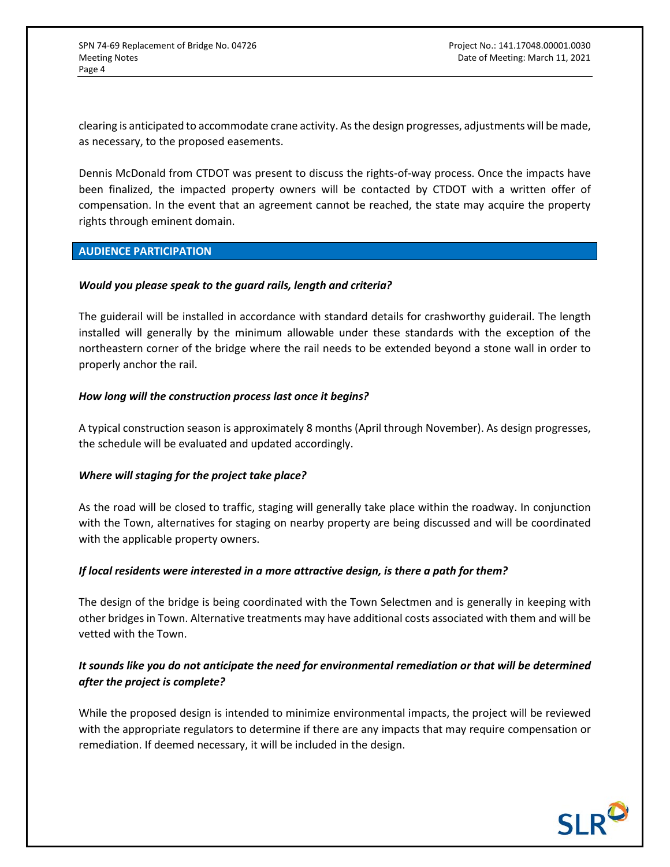clearing is anticipated to accommodate crane activity. As the design progresses, adjustments will be made, as necessary, to the proposed easements.

Dennis McDonald from CTDOT was present to discuss the rights-of-way process. Once the impacts have been finalized, the impacted property owners will be contacted by CTDOT with a written offer of compensation. In the event that an agreement cannot be reached, the state may acquire the property rights through eminent domain.

## **AUDIENCE PARTICIPATION**

## *Would you please speak to the guard rails, length and criteria?*

The guiderail will be installed in accordance with standard details for crashworthy guiderail. The length installed will generally by the minimum allowable under these standards with the exception of the northeastern corner of the bridge where the rail needs to be extended beyond a stone wall in order to properly anchor the rail.

## *How long will the construction process last once it begins?*

A typical construction season is approximately 8 months (April through November). As design progresses, the schedule will be evaluated and updated accordingly.

## *Where will staging for the project take place?*

As the road will be closed to traffic, staging will generally take place within the roadway. In conjunction with the Town, alternatives for staging on nearby property are being discussed and will be coordinated with the applicable property owners.

## *If local residents were interested in a more attractive design, is there a path for them?*

The design of the bridge is being coordinated with the Town Selectmen and is generally in keeping with other bridges in Town. Alternative treatments may have additional costs associated with them and will be vetted with the Town.

# *It sounds like you do not anticipate the need for environmental remediation or that will be determined after the project is complete?*

While the proposed design is intended to minimize environmental impacts, the project will be reviewed with the appropriate regulators to determine if there are any impacts that may require compensation or remediation. If deemed necessary, it will be included in the design.

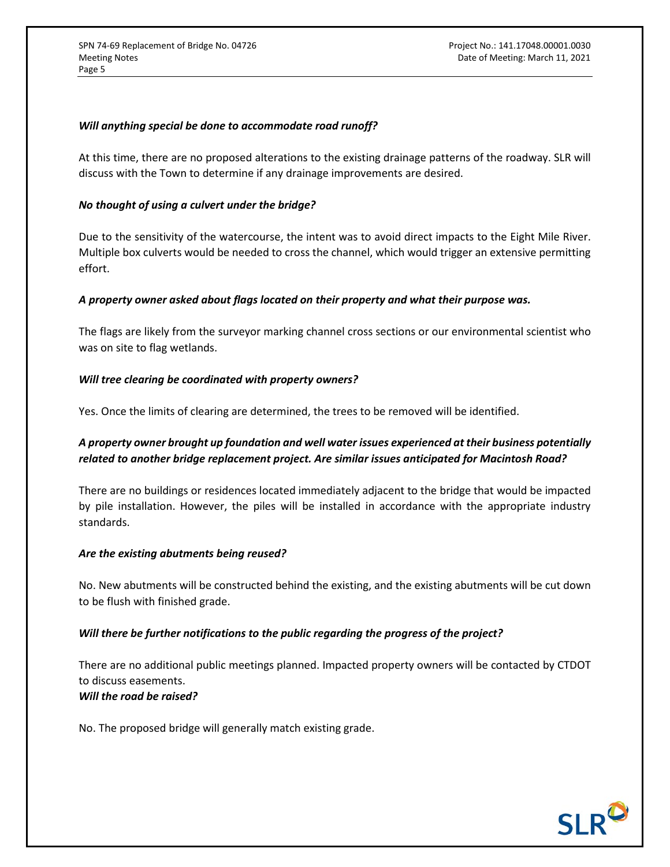#### *Will anything special be done to accommodate road runoff?*

At this time, there are no proposed alterations to the existing drainage patterns of the roadway. SLR will discuss with the Town to determine if any drainage improvements are desired.

#### *No thought of using a culvert under the bridge?*

Due to the sensitivity of the watercourse, the intent was to avoid direct impacts to the Eight Mile River. Multiple box culverts would be needed to cross the channel, which would trigger an extensive permitting effort.

## *A property owner asked about flags located on their property and what their purpose was.*

The flags are likely from the surveyor marking channel cross sections or our environmental scientist who was on site to flag wetlands.

## *Will tree clearing be coordinated with property owners?*

Yes. Once the limits of clearing are determined, the trees to be removed will be identified.

## *A property owner brought up foundation and well water issues experienced at their business potentially related to another bridge replacement project. Are similar issues anticipated for Macintosh Road?*

There are no buildings or residences located immediately adjacent to the bridge that would be impacted by pile installation. However, the piles will be installed in accordance with the appropriate industry standards.

#### *Are the existing abutments being reused?*

No. New abutments will be constructed behind the existing, and the existing abutments will be cut down to be flush with finished grade.

## *Will there be further notifications to the public regarding the progress of the project?*

There are no additional public meetings planned. Impacted property owners will be contacted by CTDOT to discuss easements. *Will the road be raised?*

No. The proposed bridge will generally match existing grade.